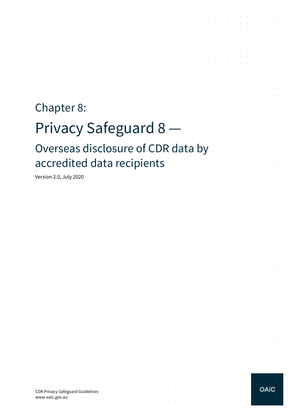# Chapter 8: Privacy Safeguard 8 — Overseas disclosure of CDR data by accredited data recipients

 $\mathcal{L}_\mathcal{A}$  , where  $\mathcal{L}_\mathcal{A}$  is a subset of the set of the set of the set of  $\mathcal{L}_\mathcal{A}$ 

المتناقص والمستنقل والمستنقل والمستنقل والمستنقل والمستنقل والمستنقل والمستنقل the contract of the contract of the contract of the

 $\mathcal{L}$ 

 $\sim 10$ 

Version 2.0, July 2020

CDR Privacy Safeguard Guidelines www.oaic.gov.au

**OAIC** 

the contract of the contract of the contract of and the contract of the contract of the contract of and a series of the contract of the contract of the contract of the contract of the

the control of the control of the control of and a series of the series of the series of the and a series of the contract of the series  $\mathcal{L}^{\mathcal{A}}$  . The set of the set of the set of the set of the set of  $\mathcal{L}^{\mathcal{A}}$ and a state of the state of the

> $\sim$ and a state

> $\sim$  $\Delta\sim 10^{-1}$

 $\mathcal{L}^{\text{max}}$  $\Delta \sim 100$ 

 $\sim$  $\alpha$  and  $\alpha$  $\sim 10^{-1}$  .

 $\mathcal{L}^{\text{max}}$ 

 $\sim$  $\sim 10^{-1}$  .  $\sim 10^{-11}$  .  $\mathcal{L}^{\text{max}}(\mathcal{L}^{\text{max}})$  $\mathcal{L}^{\mathcal{L}}$ **College** and the control  $\mathcal{L}^{\text{max}}$  and  $\mathcal{L}^{\text{max}}$ 

and the control and a state  $\mathcal{L}_{\rm{c}}$ and a state **Service State** 

 $\mathcal{A}^{\mathcal{A}}$  and  $\mathcal{A}^{\mathcal{A}}$  and  $\mathcal{A}^{\mathcal{A}}$ and the control

 $\mathcal{L}^{\text{max}}$  and  $\mathcal{L}^{\text{max}}$ and a state

**Service Control Service** State

and the control

 $\alpha = 1, \ldots, n$ 

 $\sim 10^{-1}$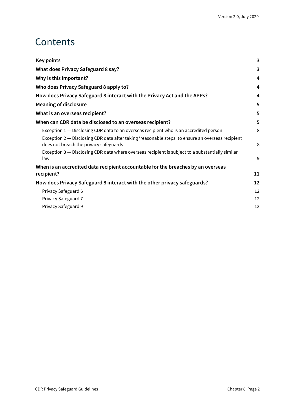### **Contents**

| Key points                                                                                                                                  | 3  |
|---------------------------------------------------------------------------------------------------------------------------------------------|----|
| What does Privacy Safeguard 8 say?                                                                                                          | 3  |
| Why is this important?                                                                                                                      | 4  |
| Who does Privacy Safeguard 8 apply to?                                                                                                      | 4  |
| How does Privacy Safeguard 8 interact with the Privacy Act and the APPs?                                                                    | 4  |
| <b>Meaning of disclosure</b>                                                                                                                | 5  |
| What is an overseas recipient?                                                                                                              | 5  |
| When can CDR data be disclosed to an overseas recipient?                                                                                    | 5  |
| Exception 1 - Disclosing CDR data to an overseas recipient who is an accredited person                                                      | 8  |
| Exception 2 - Disclosing CDR data after taking 'reasonable steps' to ensure an overseas recipient<br>does not breach the privacy safeguards | 8  |
| Exception 3 - Disclosing CDR data where overseas recipient is subject to a substantially similar<br>law                                     | 9  |
| When is an accredited data recipient accountable for the breaches by an overseas                                                            |    |
| recipient?                                                                                                                                  | 11 |
| How does Privacy Safeguard 8 interact with the other privacy safeguards?                                                                    | 12 |
| Privacy Safeguard 6                                                                                                                         | 12 |
| Privacy Safeguard 7                                                                                                                         | 12 |
| Privacy Safeguard 9                                                                                                                         | 12 |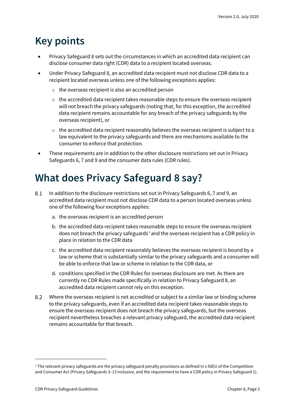### <span id="page-2-0"></span>**Key points**

- Privacy Safeguard 8 sets out the circumstances in which an accredited data recipient can disclose consumer data right (CDR) data to a recipient located overseas.
- Under Privacy Safeguard 8, an accredited data recipient must not disclose CDR data to a recipient located overseas unless one of the following exceptions applies:
	- o the overseas recipient is also an accredited person
	- $\circ$  the accredited data recipient takes reasonable steps to ensure the overseas recipient will not breach the privacy safeguards (noting that, for this exception, the accredited data recipient remains accountable for any breach of the privacy safeguards by the overseas recipient), or
	- $\circ$  the accredited data recipient reasonably believes the overseas recipient is subject to a law equivalent to the privacy safeguards and there are mechanisms available to the consumer to enforce that protection.
- These requirements are in addition to the other disclosure restrictions set out in Privacy Safeguards 6, 7 and 9 and the consumer data rules (CDR rules).

### <span id="page-2-1"></span>**What does Privacy Safeguard 8 say?**

- In addition to the disclosure restrictions set out in Privacy Safeguards 6, 7 and 9, an 8.1 accredited data recipient must not disclose CDR data to a person located overseas unless one of the following four exceptions applies:
	- a. the overseas recipient is an accredited person
	- b. the accredited data recipient takes reasonable steps to ensure the overseas recipient does not breach the privacy safeguards<sup>[1](#page-2-2)</sup> and the overseas recipient has a CDR policy in place in relation to the CDR data
	- c. the accredited data recipient reasonably believes the overseas recipient is bound by a law or scheme that is substantially similar to the privacy safeguards and a consumer will be able to enforce that law or scheme in relation to the CDR data, or
	- d. conditions specified in the CDR Rules for overseas disclosure are met. As there are currently no CDR Rules made specifically in relation to Privacy Safeguard 8, an accredited data recipient cannot rely on this exception.
- 8.2 Where the overseas recipient is not accredited or subject to a similar law or binding scheme to the privacy safeguards, even if an accredited data recipient takes reasonable steps to ensure the overseas recipient does not breach the privacy safeguards, but the overseas recipient nevertheless breaches a relevant privacy safeguard, the accredited data recipient remains accountable for that breach.

<span id="page-2-2"></span> $1$  The relevant privacy safeguards are the privacy safeguard penalty provisions as defined in s 56EU of the Competition and Consumer Act (Privacy Safeguards 3–13 inclusive, and the requirement to have a CDR policy in Privacy Safeguard 1).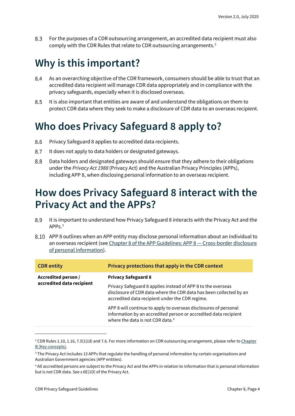8.3 For the purposes of a CDR outsourcing arrangement, an accredited data recipient must also comply with the CDR Rules that relate to CDR outsourcing arrangements.[2](#page-3-3)

## <span id="page-3-0"></span>**Why is this important?**

- 8.4 As an overarching objective of the CDR framework, consumers should be able to trust that an accredited data recipient will manage CDR data appropriately and in compliance with the privacy safeguards, especially when it is disclosed overseas.
- 8.5 It is also important that entities are aware of and understand the obligations on them to protect CDR data where they seek to make a disclosure of CDR data to an overseas recipient.

### <span id="page-3-1"></span>**Who does Privacy Safeguard 8 apply to?**

- Privacy Safeguard 8 applies to accredited data recipients. 8.6
- 8.7 It does not apply to data holders or designated gateways.
- 8.8 Data holders and designated gateways should ensure that they adhere to their obligations under the *Privacy Act 1988* (Privacy Act) and the Australian Privacy Principles (APPs), including APP 8, when disclosing personal information to an overseas recipient.

### <span id="page-3-2"></span>**How does Privacy Safeguard 8 interact with the Privacy Act and the APPs?**

- 8.9 It is important to understand how Privacy Safeguard 8 interacts with the Privacy Act and the APP<sub>S.[3](#page-3-4)</sub>
- APP 8 outlines when an APP entity may disclose personal information about an individual to an overseas recipient (see [Chapter 8 of the APP Guidelines: APP 8 —](https://www.oaic.gov.au/privacy/australian-privacy-principles-guidelines/chapter-8-app-8-cross-border-disclosure-of-personal-information/) Cross-border disclosure [of personal information\)](https://www.oaic.gov.au/privacy/australian-privacy-principles-guidelines/chapter-8-app-8-cross-border-disclosure-of-personal-information/).

| <b>CDR</b> entity                                | Privacy protections that apply in the CDR context                                                                                                                                     |
|--------------------------------------------------|---------------------------------------------------------------------------------------------------------------------------------------------------------------------------------------|
| Accredited person /<br>accredited data recipient | <b>Privacy Safeguard 8</b>                                                                                                                                                            |
|                                                  | Privacy Safeguard 8 applies instead of APP 8 to the overseas<br>disclosure of CDR data where the CDR data has been collected by an<br>accredited data recipient under the CDR regime. |
|                                                  | APP 8 will continue to apply to overseas disclosures of personal<br>information by an accredited person or accredited data recipient<br>where the data is not CDR data. <sup>4</sup>  |

<span id="page-3-3"></span><sup>&</sup>lt;sup>2</sup> CDR Rules 1.10, 1.16, 7.5(1)(d) and 7.6. For more information on CDR outsourcing arrangement, please refer to Chapter [B \(Key concepts\).](https://www.oaic.gov.au/consumer-data-right/cdr-privacy-safeguard-guidelines/chapter-b-key-concepts)

<span id="page-3-4"></span><sup>&</sup>lt;sup>3</sup> The Privacy Act includes 13 APPs that regulate the handling of personal information by certain organisations and Australian Government agencies (APP entities).

<span id="page-3-5"></span><sup>4</sup> All accredited persons are subject to the Privacy Act and the APPs in relation to information that is personal information but is not CDR data. See s 6E(1D) of the Privacy Act.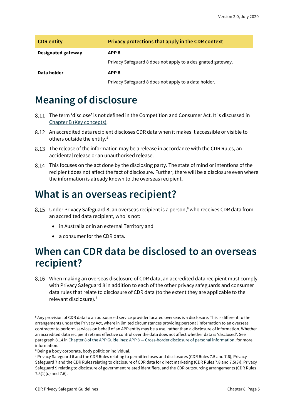| <b>CDR</b> entity         | Privacy protections that apply in the CDR context                               |
|---------------------------|---------------------------------------------------------------------------------|
| <b>Designated gateway</b> | APP <sub>8</sub><br>Privacy Safeguard 8 does not apply to a designated gateway. |
| Data holder               | APP <sub>8</sub><br>Privacy Safeguard 8 does not apply to a data holder.        |

### <span id="page-4-0"></span>**Meaning of disclosure**

- The term 'disclose' is not defined in the Competition and Consumer Act. It is discussed in [Chapter B \(Key concepts\).](https://www.oaic.gov.au/consumer-data-right/cdr-privacy-safeguard-guidelines/chapter-b-key-concepts)
- An accredited data recipient discloses CDR data when it makes it accessible or visible to others outside the entity.<sup>[5](#page-4-3)</sup>
- The release of the information may be a release in accordance with the CDR Rules, an accidental release or an unauthorised release.
- This focuses on the act done by the disclosing party. The state of mind or intentions of the recipient does not affect the fact of disclosure. Further, there will be a disclosure even where the information is already known to the overseas recipient.

### <span id="page-4-1"></span>**What is an overseas recipient?**

- 8.15 Under Privacy Safeguard 8, an overseas recipient is a person,<sup>[6](#page-4-4)</sup> who receives CDR data from an accredited data recipient, who is not:
	- in Australia or in an external Territory and
	- a consumer for the CDR data.

### <span id="page-4-2"></span>**When can CDR data be disclosed to an overseas recipient?**

When making an overseas disclosure of CDR data, an accredited data recipient must comply with Privacy Safeguard 8 in addition to each of the other privacy safeguards and consumer data rules that relate to disclosure of CDR data (to the extent they are applicable to the relevant disclosure).[7](#page-4-5)

<span id="page-4-3"></span><sup>5</sup> Any provision of CDR data to an outsourced service provider located overseas is a disclosure. This is different to the arrangements under the Privacy Act, where in limited circumstances providing personal information to an overseas contractor to perform services on behalf of an APP entity may be a use, rather than a disclosure of information. Whether an accredited data recipient retains effective control over the data does not affect whether data is 'disclosed'. See paragraph 8.14 in Chapter 8 of the APP Guidelines: APP 8 - [Cross-border disclosure of personal information,](https://www.oaic.gov.au/privacy/australian-privacy-principles-guidelines/chapter-8-app-8-cross-border-disclosure-of-personal-information/) for more information.

<span id="page-4-4"></span><sup>&</sup>lt;sup>6</sup> Being a body corporate, body politic or individual.

<span id="page-4-5"></span><sup>7</sup> Privacy Safeguard 6 and the CDR Rules relating to permitted uses and disclosures (CDR Rules 7.5 and 7.6), Privacy Safeguard 7 and the CDR Rules relating to disclosure of CDR data for direct marketing (CDR Rules 7.8 and 7.5(3)), Privacy Safeguard 9 relating to disclosure of government related identifiers, and the CDR outsourcing arrangements (CDR Rules 7.5(1)(d) and 7.6).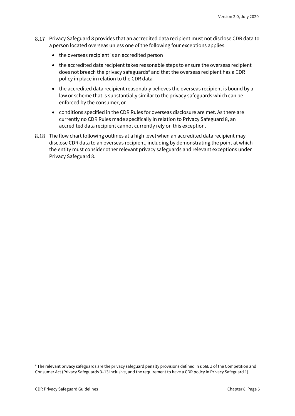- Privacy Safeguard 8 provides that an accredited data recipient must not disclose CDR data to a person located overseas unless one of the following four exceptions applies:
	- the overseas recipient is an accredited person
	- the accredited data recipient takes reasonable steps to ensure the overseas recipient does not breach the privacy safeguards<sup>[8](#page-5-0)</sup> and that the overseas recipient has a CDR policy in place in relation to the CDR data
	- the accredited data recipient reasonably believes the overseas recipient is bound by a law or scheme that is substantially similar to the privacy safeguards which can be enforced by the consumer, or
	- conditions specified in the CDR Rules for overseas disclosure are met. As there are currently no CDR Rules made specifically in relation to Privacy Safeguard 8, an accredited data recipient cannot currently rely on this exception.
- The flow chart following outlines at a high level when an accredited data recipient may disclose CDR data to an overseas recipient, including by demonstrating the point at which the entity must consider other relevant privacy safeguards and relevant exceptions under Privacy Safeguard 8.

<span id="page-5-0"></span><sup>8</sup> The relevant privacy safeguards are the privacy safeguard penalty provisions defined in s 56EU of the Competition and Consumer Act (Privacy Safeguards 3–13 inclusive, and the requirement to have a CDR policy in Privacy Safeguard 1).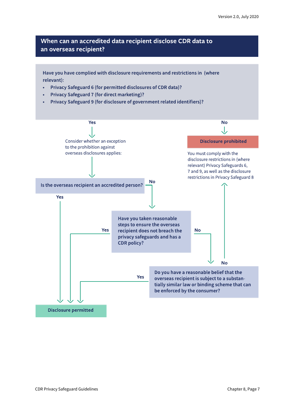#### When can an accredited data recipient disclose CDR data to an overseas recipient?

Have you have complied with disclosure requirements and restrictions in (where relevant):

- Privacy Safeguard 6 (for permitted disclosures of CDR data)?
- Privacy Safeguard 7 (for direct marketing)?
- Privacy Safeguard 9 (for disclosure of government related identifiers)?

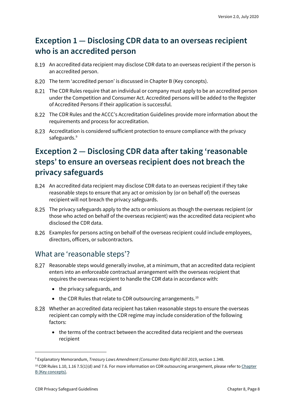#### <span id="page-7-0"></span>**Exception 1 — Disclosing CDR data to an overseas recipient who is an accredited person**

- An accredited data recipient may disclose CDR data to an overseas recipient if the person is an accredited person.
- 8.20 The term 'accredited person' is discussed in Chapter B (Key concepts).
- The CDR Rules require that an individual or company must apply to be an accredited person under the Competition and Consumer Act. Accredited persons will be added to the Register of Accredited Persons if their application is successful.
- The CDR Rules and the ACCC's Accreditation Guidelines provide more information about the requirements and process for accreditation.
- Accreditation is considered sufficient protection to ensure compliance with the privacy safeguards.<sup>[9](#page-7-2)</sup>

### <span id="page-7-1"></span>**Exception 2 — Disclosing CDR data after taking 'reasonable steps' to ensure an overseas recipient does not breach the privacy safeguards**

- An accredited data recipient may disclose CDR data to an overseas recipient if they take reasonable steps to ensure that any act or omission by (or on behalf of) the overseas recipient will not breach the privacy safeguards.
- The privacy safeguards apply to the acts or omissions as though the overseas recipient (or those who acted on behalf of the overseas recipient) was the accredited data recipient who disclosed the CDR data.
- Examples for persons acting on behalf of the overseas recipient could include employees, directors, officers, or subcontractors.

#### What are 'reasonable steps'?

- Reasonable steps would generally involve, at a minimum, that an accredited data recipient enters into an enforceable contractual arrangement with the overseas recipient that requires the overseas recipient to handle the CDR data in accordance with:
	- the privacy safeguards, and
	- the CDR Rules that relate to CDR outsourcing arrangements.<sup>[10](#page-7-3)</sup>
- Whether an accredited data recipient has taken reasonable steps to ensure the overseas recipient can comply with the CDR regime may include consideration of the following factors:
	- the terms of the contract between the accredited data recipient and the overseas recipient

<span id="page-7-2"></span><sup>9</sup> Explanatory Memorandum, *Treasury Laws Amendment (Consumer Data Right) Bill 2019*, section 1.348.

<span id="page-7-3"></span> $10$  CDR Rules 1.10, 1.16 7.5(1)(d) and 7.6. For more information on CDR outsourcing arrangement, please refer to Chapter [B \(Key concepts\).](https://www.oaic.gov.au/consumer-data-right/cdr-privacy-safeguard-guidelines/chapter-b-key-concepts)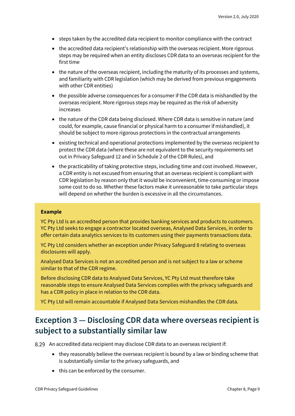- steps taken by the accredited data recipient to monitor compliance with the contract
- the accredited data recipient's relationship with the overseas recipient. More rigorous steps may be required when an entity discloses CDR data to an overseas recipient for the first time
- the nature of the overseas recipient, including the maturity of its processes and systems, and familiarity with CDR legislation (which may be derived from previous engagements with other CDR entities)
- the possible adverse consequences for a consumer if the CDR data is mishandled by the overseas recipient. More rigorous steps may be required as the risk of adversity increases
- the nature of the CDR data being disclosed. Where CDR data is sensitive in nature (and could, for example, cause financial or physical harm to a consumer if mishandled), it should be subject to more rigorous protections in the contractual arrangements
- existing technical and operational protections implemented by the overseas recipient to protect the CDR data (where these are not equivalent to the security requirements set out in Privacy Safeguard 12 and in Schedule 2 of the CDR Rules), and
- the practicability of taking protective steps, including time and cost involved. However, a CDR entity is not excused from ensuring that an overseas recipient is compliant with CDR legislation by reason only that it would be inconvenient, time-consuming or impose some cost to do so. Whether these factors make it unreasonable to take particular steps will depend on whether the burden is excessive in all the circumstances.

#### **Example**

YC Pty Ltd is an accredited person that provides banking services and products to customers. YC Pty Ltd seeks to engage a contractor located overseas, Analysed Data Services, in order to offer certain data analytics services to its customers using their payments transactions data.

YC Pty Ltd considers whether an exception under Privacy Safeguard 8 relating to overseas disclosures will apply.

Analysed Data Services is not an accredited person and is not subject to a law or scheme similar to that of the CDR regime.

Before disclosing CDR data to Analysed Data Services, YC Pty Ltd must therefore take reasonable steps to ensure Analysed Data Services complies with the privacy safeguards and has a CDR policy in place in relation to the CDR data.

YC Pty Ltd will remain accountable if Analysed Data Services mishandles the CDR data.

#### <span id="page-8-0"></span>**Exception 3 — Disclosing CDR data where overseas recipient is subject to a substantially similar law**

An accredited data recipient may disclose CDR data to an overseas recipient if:

- they reasonably believe the overseas recipient is bound by a law or binding scheme that is substantially similar to the privacy safeguards, and
- this can be enforced by the consumer.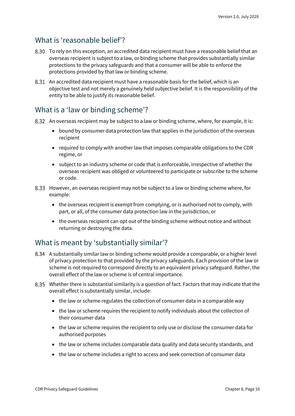#### What is 'reasonable belief'?

- To rely on this exception, an accredited data recipient must have a reasonable belief that an overseas recipient is subject to a law, or binding scheme that provides substantially similar protections to the privacy safeguards and that a consumer will be able to enforce the protections provided by that law or binding scheme.
- An accredited data recipient must have a reasonable basis for the belief, which is an objective test and not merely a genuinely held subjective belief. It is the responsibility of the entity to be able to justify its reasonable belief.

#### What is a 'law or binding scheme'?

- 8.32 An overseas recipient may be subject to a law or binding scheme, where, for example, it is:
	- bound by consumer data protection law that applies in the jurisdiction of the overseas recipient
	- required to comply with another law that imposes comparable obligations to the CDR regime, or
	- subject to an industry scheme or code that is enforceable, irrespective of whether the overseas recipient was obliged or volunteered to participate or subscribe to the scheme or code.
- However, an overseas recipient may not be subject to a law or binding scheme where, for example:
	- the overseas recipient is exempt from complying, or is authorised not to comply, with part, or all, of the consumer data protection law in the jurisdiction, or
	- the overseas recipient can opt out of the binding scheme without notice and without returning or destroying the data.

#### What is meant by 'substantially similar'?

- A substantially similar law or binding scheme would provide a comparable, or a higher level of privacy protection to that provided by the privacy safeguards. Each provision of the law or scheme is not required to correspond directly to an equivalent privacy safeguard. Rather, the overall effect of the law or scheme is of central importance.
- Whether there is substantial similarity is a question of fact. Factors that may indicate that the overall effect is substantially similar, include:
	- the law or scheme regulates the collection of consumer data in a comparable way
	- the law or scheme requires the recipient to notify individuals about the collection of their consumer data
	- the law or scheme requires the recipient to only use or disclose the consumer data for authorised purposes
	- the law or scheme includes comparable data quality and data security standards, and
	- the law or scheme includes a right to access and seek correction of consumer data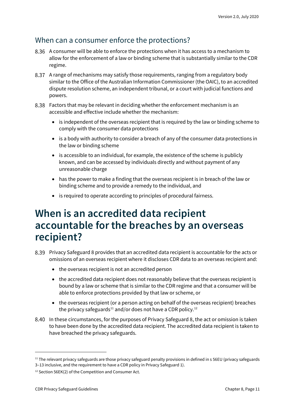#### When can a consumer enforce the protections?

- A consumer will be able to enforce the protections when it has access to a mechanism to allow for the enforcement of a law or binding scheme that is substantially similar to the CDR regime.
- A range of mechanisms may satisfy those requirements, ranging from a regulatory body similar to the Office of the Australian Information Commissioner (the OAIC), to an accredited dispute resolution scheme, an independent tribunal, or a court with judicial functions and powers.
- Factors that may be relevant in deciding whether the enforcement mechanism is an accessible and effective include whether the mechanism:
	- is independent of the overseas recipient that is required by the law or binding scheme to comply with the consumer data protections
	- is a body with authority to consider a breach of any of the consumer data protections in the law or binding scheme
	- is accessible to an individual, for example, the existence of the scheme is publicly known, and can be accessed by individuals directly and without payment of any unreasonable charge
	- has the power to make a finding that the overseas recipient is in breach of the law or binding scheme and to provide a remedy to the individual, and
	- is required to operate according to principles of procedural fairness.

### <span id="page-10-0"></span>**When is an accredited data recipient accountable for the breaches by an overseas recipient?**

- Privacy Safeguard 8 provides that an accredited data recipient is accountable for the acts or omissions of an overseas recipient where it discloses CDR data to an overseas recipient and:
	- the overseas recipient is not an accredited person
	- the accredited data recipient does not reasonably believe that the overseas recipient is bound by a law or scheme that is similar to the CDR regime and that a consumer will be able to enforce protections provided by that law or scheme, or
	- the overseas recipient (or a person acting on behalf of the overseas recipient) breaches the privacy safeguards<sup>[11](#page-10-1)</sup> and/or does not have a CDR policy.<sup>[12](#page-10-2)</sup>
- 8.40 In these circumstances, for the purposes of Privacy Safeguard 8, the act or omission is taken to have been done by the accredited data recipient. The accredited data recipient is taken to have breached the privacy safeguards.

<span id="page-10-1"></span><sup>&</sup>lt;sup>11</sup> The relevant privacy safeguards are those privacy safeguard penalty provisions in defined in s 56EU (privacy safeguards 3–13 inclusive, and the requirement to have a CDR policy in Privacy Safeguard 1).

<span id="page-10-2"></span><sup>12</sup> Section 56EK(2) of the Competition and Consumer Act.